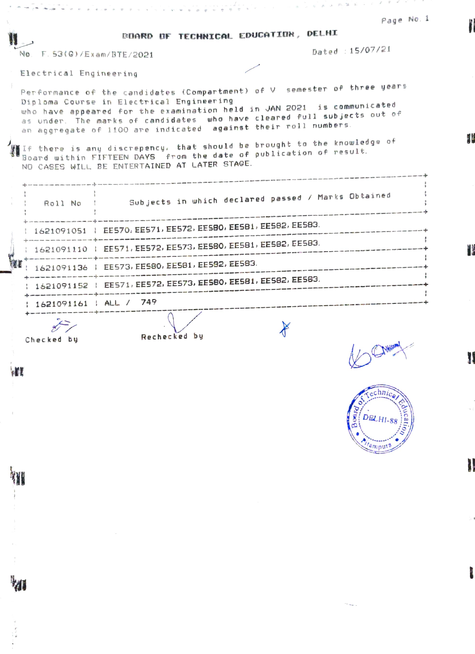| Page No. 1                                                                                                                                                                                                                                                                                                                                  |  |
|---------------------------------------------------------------------------------------------------------------------------------------------------------------------------------------------------------------------------------------------------------------------------------------------------------------------------------------------|--|
| BOARD OF TECHNICAL EDUCATION, DELHI                                                                                                                                                                                                                                                                                                         |  |
| Dated : 15/07/21<br>No. F. 53(G)/Exam/BTE/2021                                                                                                                                                                                                                                                                                              |  |
| Electrical Engineering                                                                                                                                                                                                                                                                                                                      |  |
| Performance of the candidates (Compartment) of V semester of three years<br>Diploma Course in Electrical Engineering<br>who have appeared for the examination held in JAN 2021 is communicated<br>as under. The marks of candidates who have cleared full subjects out of<br>an aggregate of 1100 are indicated against their roll numbers. |  |
| If there is any discrepency, that should be brought to the knowledge of<br>Board within FIFTEEN DAYS from the date of publication of result.<br>NO CASES WILL BE ENTERTAINED AT LATER STAGE.                                                                                                                                                |  |
| : Roll No : Subjects in which declared passed / Marks Obtained                                                                                                                                                                                                                                                                              |  |
| 1621091051   EES70, EES71, EES72, EES80, EES81, EES82, EES83.                                                                                                                                                                                                                                                                               |  |
| 1621091110   EE571, EE572, EE573, EE580, EE581, EE582, EE583.                                                                                                                                                                                                                                                                               |  |
| 1621091136   EE573, EE580, EE581, EE582, EE583.                                                                                                                                                                                                                                                                                             |  |
| 1621091152   EE571, EE572, EE573, EE580, EE581, EE582, EE583.                                                                                                                                                                                                                                                                               |  |
| 1621091161   ALL / 749                                                                                                                                                                                                                                                                                                                      |  |
| Rechecked by<br>Checked by<br>$\mathbf{A}$ and $\mathbf{A}$                                                                                                                                                                                                                                                                                 |  |

W

H



 $\supset$ 

 $\beta'$  $\overline{v}$ 

'n.